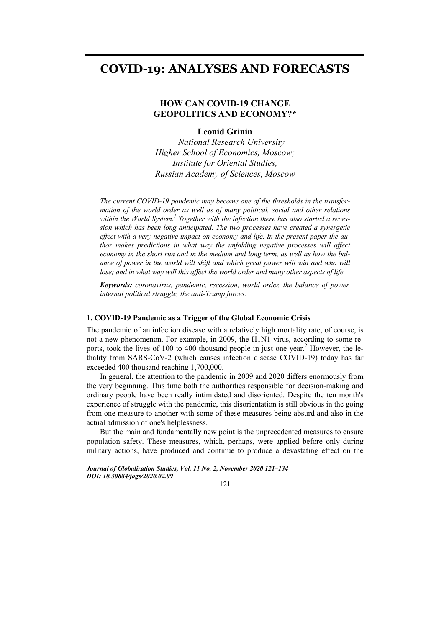# **COVID-19: ANALYSES AND FORECASTS**

# **HOW CAN COVID-19 CHANGE GEOPOLITICS AND ECONOMY?\***

### **Leonid Grinin**

*National Research University Higher School of Economics, Moscow; Institute for Oriental Studies, Russian Academy of Sciences, Moscow* 

*The current COVID-19 pandemic may become one of the thresholds in the transformation of the world order as well as of many political, social and other relations*  within the World System.<sup>1</sup> Together with the infection there has also started a reces*sion which has been long anticipated. The two processes have created a synergetic effect with a very negative impact on economy and life. In the present paper the author makes predictions in what way the unfolding negative processes will affect economy in the short run and in the medium and long term, as well as how the bal*ance of power in the world will shift and which great power will win and who will *lose; and in what way will this affect the world order and many other aspects of life.* 

*Keywords: coronavirus, pandemic, recession, world order, the balance of power, internal political struggle, the anti-Trump forces.* 

### **1. COVID-19 Pandemic as a Trigger of the Global Economic Crisis**

The pandemic of an infection disease with a relatively high mortality rate, of course, is not a new phenomenon. For example, in 2009, the H1N1 virus, according to some reports, took the lives of 100 to 400 thousand people in just one year.<sup>2</sup> However, the lethality from SARS-CoV-2 (which causes infection disease COVID-19) today has far exceeded 400 thousand reaching 1,700,000.

In general, the attention to the pandemic in 2009 and 2020 differs enormously from the very beginning. This time both the authorities responsible for decision-making and ordinary people have been really intimidated and disoriented. Despite the ten month's experience of struggle with the pandemic, this disorientation is still obvious in the going from one measure to another with some of these measures being absurd and also in the actual admission of one's helplessness.

But the main and fundamentally new point is the unprecedented measures to ensure population safety. These measures, which, perhaps, were applied before only during military actions, have produced and continue to produce a devastating effect on the

*Journal of Globalization Studies, Vol. 11 No. 2, November 2020 121–134 DOI: 10.30884/jogs/2020.02.09* 

121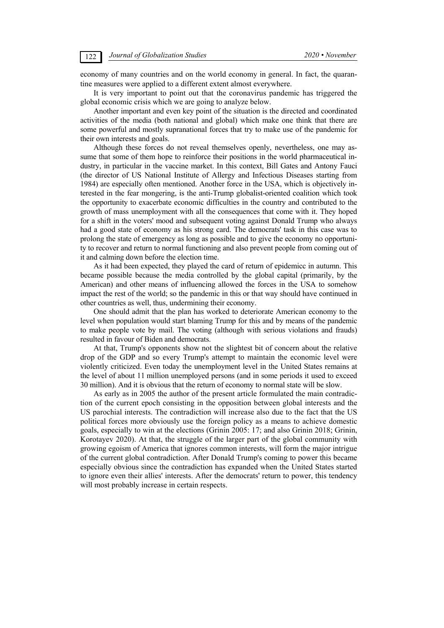economy of many countries and on the world economy in general. In fact, the quarantine measures were applied to a different extent almost everywhere.

It is very important to point out that the coronavirus pandemic has triggered the global economic crisis which we are going to analyze below.

Another important and even key point of the situation is the directed and coordinated activities of the media (both national and global) which make one think that there are some powerful and mostly supranational forces that try to make use of the pandemic for their own interests and goals.

Although these forces do not reveal themselves openly, nevertheless, one may assume that some of them hope to reinforce their positions in the world pharmaceutical industry, in particular in the vaccine market. In this context, Bill Gates and Antony Fauci (the director of US National Institute of Allergy and Infectious Diseases starting from 1984) are especially often mentioned. Another force in the USA, which is objectively interested in the fear mongering, is the anti-Trump globalist-oriented coalition which took the opportunity to exacerbate economic difficulties in the country and contributed to the growth of mass unemployment with all the consequences that come with it. They hoped for a shift in the voters' mood and subsequent voting against Donald Trump who always had a good state of economy as his strong card. The democrats' task in this case was to prolong the state of emergency as long as possible and to give the economy no opportunity to recover and return to normal functioning and also prevent people from coming out of it and calming down before the election time.

As it had been expected, they played the card of return of epidemicс in autumn. This became possible because the media controlled by the global capital (primarily, by the American) and other means of influencing allowed the forces in the USA to somehow impact the rest of the world; so the pandemic in this or that way should have continued in other countries as well, thus, undermining their economy.

One should admit that the plan has worked to deteriorate American economy to the level when population would start blaming Trump for this and by means of the pandemic to make people vote by mail. The voting (although with serious violations and frauds) resulted in favour of Biden and democrats.

At that, Trump's opponents show not the slightest bit of concern about the relative drop of the GDP and so every Trump's attempt to maintain the economic level were violently criticized. Even today the unemployment level in the United States remains at the level of about 11 million unemployed persons (and in some periods it used to exceed 30 million). And it is obvious that the return of economy to normal state will be slow.

As early as in 2005 the author of the present article formulated the main contradiction of the current epoch consisting in the opposition between global interests and the US parochial interests. The contradiction will increase also due to the fact that the US political forces more obviously use the foreign policy as a means to achieve domestic goals, especially to win at the elections (Grinin 2005: 17; and also Grinin 2018; Grinin, Korotayev 2020). At that, the struggle of the larger part of the global community with growing egoism of America that ignores common interests, will form the major intrigue of the current global contradiction. After Donald Trump's coming to power this became especially obvious since the contradiction has expanded when the United States started to ignore even their allies' interests. After the democrats' return to power, this tendency will most probably increase in certain respects.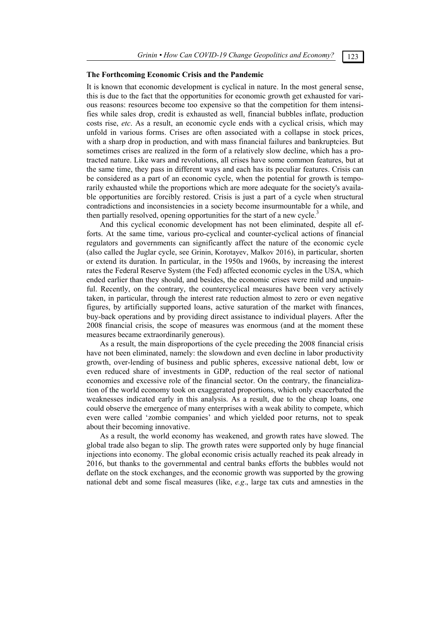### **The Forthcoming Economic Crisis and the Pandemic**

It is known that economic development is cyclical in nature. In the most general sense, this is due to the fact that the opportunities for economic growth get exhausted for various reasons: resources become too expensive so that the competition for them intensifies while sales drop, credit is exhausted as well, financial bubbles inflate, production costs rise, *etc*. As a result, an economic cycle ends with a cyclical crisis, which may unfold in various forms. Crises are often associated with a collapse in stock prices, with a sharp drop in production, and with mass financial failures and bankruptcies. But sometimes crises are realized in the form of a relatively slow decline, which has a protracted nature. Like wars and revolutions, all crises have some common features, but at the same time, they pass in different ways and each has its peculiar features. Crisis can be considered as a part of an economic cycle, when the potential for growth is temporarily exhausted while the proportions which are more adequate for the society's available opportunities are forcibly restored. Crisis is just a part of a cycle when structural contradictions and inconsistencies in a society become insurmountable for a while, and then partially resolved, opening opportunities for the start of a new cycle.<sup>3</sup>

And this cyclical economic development has not been eliminated, despite all efforts. At the same time, various pro-cyclical and counter-cyclical actions of financial regulators and governments can significantly affect the nature of the economic cycle (also called the Juglar cycle, see Grinin, Korotayev, Malkov 2016), in particular, shorten or extend its duration. In particular, in the 1950s and 1960s, by increasing the interest rates the Federal Reserve System (the Fed) affected economic cycles in the USA, which ended earlier than they should, and besides, the economic crises were mild and unpainful. Recently, on the contrary, the countercyclical measures have been very actively taken, in particular, through the interest rate reduction almost to zero or even negative figures, by artificially supported loans, active saturation of the market with finances, buy-back operations and by providing direct assistance to individual players. After the 2008 financial crisis, the scope of measures was enormous (and at the moment these measures became extraordinarily generous).

As a result, the main disproportions of the cycle preceding the 2008 financial crisis have not been eliminated, namely: the slowdown and even decline in labor productivity growth, over-lending of business and public spheres, excessive national debt, low or even reduced share of investments in GDP, reduction of the real sector of national economies and excessive role of the financial sector. On the contrary, the financialization of the world economy took on exaggerated proportions, which only exacerbated the weaknesses indicated early in this analysis. As a result, due to the cheap loans, one could observe the emergence of many enterprises with a weak ability to compete, which even were called 'zombie companies' and which yielded poor returns, not to speak about their becoming innovative.

As a result, the world economy has weakened, and growth rates have slowed. The global trade also began to slip. The growth rates were supported only by huge financial injections into economy. The global economic crisis actually reached its peak already in 2016, but thanks to the governmental and central banks efforts the bubbles would not deflate on the stock exchanges, and the economic growth was supported by the growing national debt and some fiscal measures (like, *e.g*., large tax cuts and amnesties in the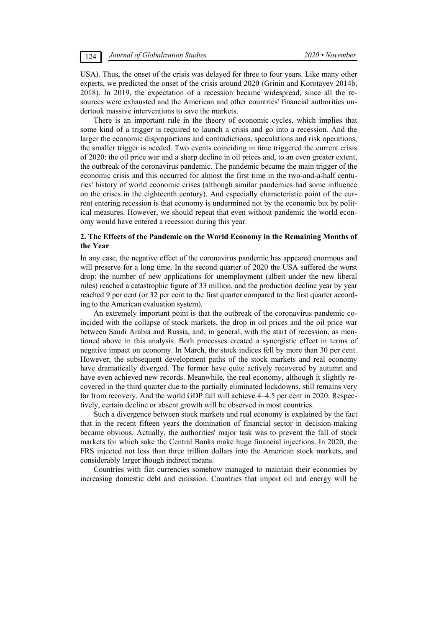USA). Thus, the onset of the crisis was delayed for three to four years. Like many other experts, we predicted the onset of the crisis around 2020 (Grinin and Korotayev 2014b, 2018). In 2019, the expectation of a recession became widespread, since all the resources were exhausted and the American and other countries' financial authorities undertook massive interventions to save the markets.

There is an important rule in the theory of economic cycles, which implies that some kind of a trigger is required to launch a crisis and go into a recession. And the larger the economic disproportions and contradictions, speculations and risk operations, the smaller trigger is needed. Two events coinciding in time triggered the current crisis of 2020: the oil price war and a sharp decline in oil prices and, to an even greater extent, the outbreak of the coronavirus pandemic. The pandemic became the main trigger of the economic crisis and this occurred for almost the first time in the two-and-a-half centuries' history of world economic crises (although similar pandemics had some influence on the crises in the eighteenth century). And especially characteristic point of the current entering recession is that economy is undermined not by the economic but by political measures. However, we should repeat that even without pandemic the world economy would have entered a recession during this year.

# **2. The Effects of the Pandemic on the World Economy in the Remaining Months of the Year**

In any case, the negative effect of the coronavirus pandemic has appeared enormous and will preserve for a long time. In the second quarter of 2020 the USA suffered the worst drop: the number of new applications for unemployment (albeit under the new liberal rules) reached a catastrophic figure of 33 million, and the production decline year by year reached 9 per cent (or 32 per cent to the first quarter compared to the first quarter according to the American evaluation system).

An extremely important point is that the outbreak of the coronavirus pandemic coincided with the collapse of stock markets, the drop in oil prices and the oil price war between Saudi Arabia and Russia, and, in general, with the start of recession, as mentioned above in this analysis. Both processes created a synergistic effect in terms of negative impact on economy. In March, the stock indices fell by more than 30 per cent. However, the subsequent development paths of the stock markets and real economy have dramatically diverged. The former have quite actively recovered by autumn and have even achieved new records. Meanwhile, the real economy, although it slightly recovered in the third quarter due to the partially eliminated lockdowns, still remains very far from recovery. And the world GDP fall will achieve 4–4.5 per cent in 2020. Respectively, certain decline or absent growth will be observed in most countries.

Such a divergence between stock markets and real economy is explained by the fact that in the recent fifteen years the domination of financial sector in decision-making became obvious. Actually, the authorities' major task was to prevent the fall of stock markets for which sake the Central Banks make huge financial injections. In 2020, the FRS injected not less than three trillion dollars into the American stock markets, and considerably larger though indirect means.

Countries with fiat currencies somehow managed to maintain their economies by increasing domestic debt and emission. Countries that import oil and energy will be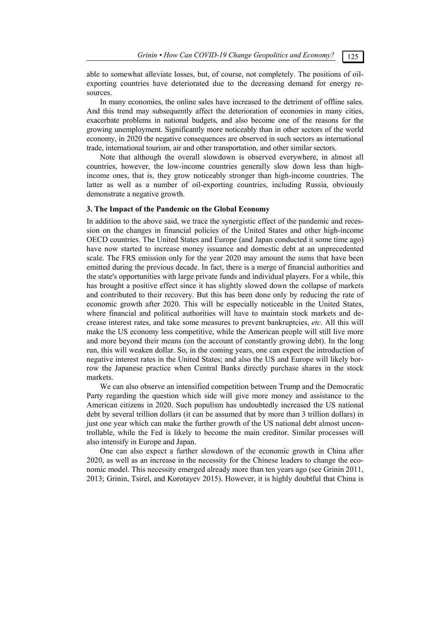able to somewhat alleviate losses, but, of course, not completely. The positions of oilexporting countries have deteriorated due to the decreasing demand for energy resources.

In many economies, the online sales have increased to the detriment of offline sales. And this trend may subsequently affect the deterioration of economies in many cities, exacerbate problems in national budgets, and also become one of the reasons for the growing unemployment. Significantly more noticeably than in other sectors of the world economy, in 2020 the negative consequences are observed in such sectors as international trade, international tourism, air and other transportation, and other similar sectors.

Note that although the overall slowdown is observed everywhere, in almost all countries, however, the low-income countries generally slow down less than highincome ones, that is, they grow noticeably stronger than high-income countries. The latter as well as a number of oil-exporting countries, including Russia, obviously demonstrate a negative growth.

# **3. The Impact of the Pandemic on the Global Economy**

In addition to the above said, we trace the synergistic effect of the pandemic and recession on the changes in financial policies of the United States and other high-income OECD countries. The United States and Europe (and Japan conducted it some time ago) have now started to increase money issuance and domestic debt at an unprecedented scale. The FRS emission only for the year 2020 may amount the sums that have been emitted during the previous decade. In fact, there is a merge of financial authorities and the state's opportunities with large private funds and individual players. For a while, this has brought a positive effect since it has slightly slowed down the collapse of markets and contributed to their recovery. But this has been done only by reducing the rate of economic growth after 2020. This will be especially noticeable in the United States, where financial and political authorities will have to maintain stock markets and decrease interest rates, and take some measures to prevent bankruptcies, *etc*. All this will make the US economy less competitive, while the American people will still live more and more beyond their means (on the account of constantly growing debt). In the long run, this will weaken dollar. So, in the coming years, one can expect the introduction of negative interest rates in the United States; and also the US and Europe will likely borrow the Japanese practice when Central Banks directly purchase shares in the stock markets.

We can also observe an intensified competition between Trump and the Democratic Party regarding the question which side will give more money and assistance to the American citizens in 2020. Such populism has undoubtedly increased the US national debt by several trillion dollars (it can be assumed that by more than 3 trillion dollars) in just one year which can make the further growth of the US national debt almost uncontrollable, while the Fed is likely to become the main creditor. Similar processes will also intensify in Europe and Japan.

One can also expect a further slowdown of the economic growth in China after 2020, as well as an increase in the necessity for the Chinese leaders to change the economic model. This necessity emerged already more than ten years ago (see Grinin 2011, 2013; Grinin, Tsirel, and Korotayev 2015). However, it is highly doubtful that China is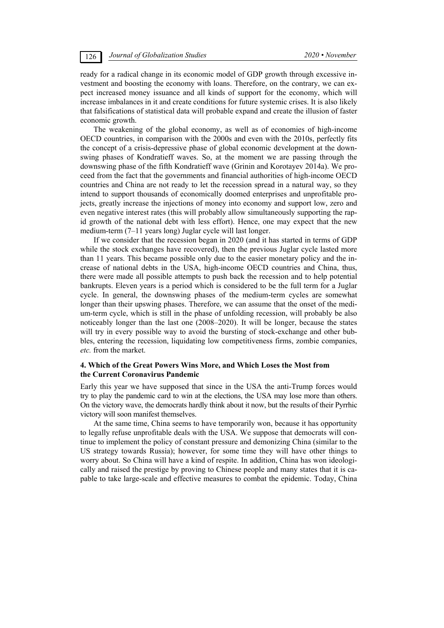ready for a radical change in its economic model of GDP growth through excessive investment and boosting the economy with loans. Therefore, on the contrary, we can expect increased money issuance and all kinds of support for the economy, which will increase imbalances in it and create conditions for future systemic crises. It is also likely that falsifications of statistical data will probable expand and create the illusion of faster economic growth.

The weakening of the global economy, as well as of economies of high-income OECD countries, in comparison with the 2000s and even with the 2010s, perfectly fits the concept of a crisis-depressive phase of global economic development at the downswing phases of Kondratieff waves. So, at the moment we are passing through the downswing phase of the fifth Kondratieff wave (Grinin and Korotayev 2014a). We proceed from the fact that the governments and financial authorities of high-income OECD countries and China are not ready to let the recession spread in a natural way, so they intend to support thousands of economically doomed enterprises and unprofitable projects, greatly increase the injections of money into economy and support low, zero and even negative interest rates (this will probably allow simultaneously supporting the rapid growth of the national debt with less effort). Hence, one may expect that the new medium-term (7–11 years long) Juglar cycle will last longer.

If we consider that the recession began in 2020 (and it has started in terms of GDP while the stock exchanges have recovered), then the previous Juglar cycle lasted more than 11 years. This became possible only due to the easier monetary policy and the increase of national debts in the USA, high-income OECD countries and China, thus, there were made all possible attempts to push back the recession and to help potential bankrupts. Eleven years is a period which is considered to be the full term for a Juglar cycle. In general, the downswing phases of the medium-term cycles are somewhat longer than their upswing phases. Therefore, we can assume that the onset of the medium-term cycle, which is still in the phase of unfolding recession, will probably be also noticeably longer than the last one (2008–2020). It will be longer, because the states will try in every possible way to avoid the bursting of stock-exchange and other bubbles, entering the recession, liquidating low competitiveness firms, zombie companies, *etc.* from the market.

# **4. Which of the Great Powers Wins More, and Which Loses the Most from the Current Coronavirus Pandemic**

Early this year we have supposed that since in the USA the anti-Trump forces would try to play the pandemic card to win at the elections, the USA may lose more than others. On the victory wave, the democrats hardly think about it now, but the results of their Pyrrhic victory will soon manifest themselves.

At the same time, China seems to have temporarily won, because it has opportunity to legally refuse unprofitable deals with the USA. We suppose that democrats will continue to implement the policy of constant pressure and demonizing China (similar to the US strategy towards Russia); however, for some time they will have other things to worry about. So China will have a kind of respite. In addition, China has won ideologically and raised the prestige by proving to Chinese people and many states that it is capable to take large-scale and effective measures to combat the epidemic. Today, China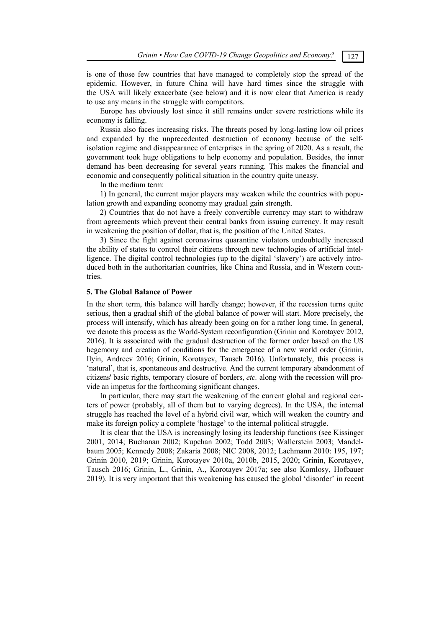is one of those few countries that have managed to completely stop the spread of the epidemic. However, in future China will have hard times since the struggle with the USA will likely exacerbate (see below) and it is now clear that America is ready to use any means in the struggle with competitors.

Europe has obviously lost since it still remains under severe restrictions while its economy is falling.

Russia also faces increasing risks. The threats posed by long-lasting low oil prices and expanded by the unprecedented destruction of economy because of the selfisolation regime and disappearance of enterprises in the spring of 2020. As a result, the government took huge obligations to help economy and population. Besides, the inner demand has been decreasing for several years running. This makes the financial and economic and consequently political situation in the country quite uneasy.

In the medium term:

1) In general, the current major players may weaken while the countries with population growth and expanding economy may gradual gain strength.

2) Countries that do not have a freely convertible currency may start to withdraw from agreements which prevent their central banks from issuing currency. It may result in weakening the position of dollar, that is, the position of the United States.

3) Since the fight against coronavirus quarantine violators undoubtedly increased the ability of states to control their citizens through new technologies of artificial intelligence. The digital control technologies (up to the digital 'slavery') are actively introduced both in the authoritarian countries, like China and Russia, and in Western countries.

# **5. The Global Balance of Power**

In the short term, this balance will hardly change; however, if the recession turns quite serious, then a gradual shift of the global balance of power will start. More precisely, the process will intensify, which has already been going on for a rather long time. In general, we denote this process as the World-System reconfiguration (Grinin and Korotayev 2012, 2016). It is associated with the gradual destruction of the former order based on the US hegemony and creation of conditions for the emergence of a new world order (Grinin, Ilyin, Andreev 2016; Grinin, Korotayev, Tausch 2016). Unfortunately, this process is 'natural', that is, spontaneous and destructive. And the current temporary abandonment of citizens' basic rights, temporary closure of borders, *etc.* along with the recession will provide an impetus for the forthcoming significant changes.

In particular, there may start the weakening of the current global and regional centers of power (probably, all of them but to varying degrees). In the USA, the internal struggle has reached the level of a hybrid civil war, which will weaken the country and make its foreign policy a complete 'hostage' to the internal political struggle.

It is clear that the USA is increasingly losing its leadership functions (see Kissinger 2001, 2014; Buchanan 2002; Kupchan 2002; Todd 2003; Wallerstein 2003; Mandelbaum 2005; Kennedy 2008; Zakaria 2008; NIC 2008, 2012; Lachmann 2010: 195, 197; Grinin 2010, 2019; Grinin, Korotayev 2010a, 2010b, 2015, 2020; Grinin, Korotayev, Tausch 2016; Grinin, L., Grinin, A., Korotayev 2017a; see also Komlosy, Hofbauer 2019). It is very important that this weakening has caused the global 'disorder' in recent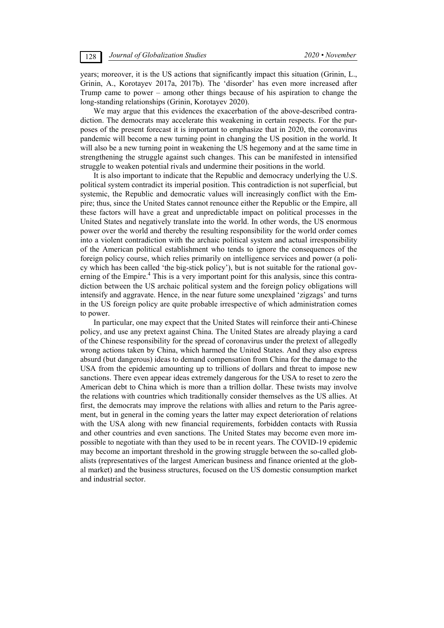years; moreover, it is the US actions that significantly impact this situation (Grinin, L., Grinin, A., Korotayev 2017a, 2017b). The 'disorder' has even more increased after Trump came to power – among other things because of his aspiration to change the long-standing relationships (Grinin, Korotayev 2020).

We may argue that this evidences the exacerbation of the above-described contradiction. The democrats may accelerate this weakening in certain respects. For the purposes of the present forecast it is important to emphasize that in 2020, the coronavirus pandemic will become a new turning point in changing the US position in the world. It will also be a new turning point in weakening the US hegemony and at the same time in strengthening the struggle against such changes. This can be manifested in intensified struggle to weaken potential rivals and undermine their positions in the world.

It is also important to indicate that the Republic and democracy underlying the U.S. political system contradict its imperial position. This contradiction is not superficial, but systemic, the Republic and democratic values will increasingly conflict with the Empire; thus, since the United States cannot renounce either the Republic or the Empire, all these factors will have a great and unpredictable impact on political processes in the United States and negatively translate into the world. In other words, the US enormous power over the world and thereby the resulting responsibility for the world order comes into a violent contradiction with the archaic political system and actual irresponsibility of the American political establishment who tends to ignore the consequences of the foreign policy course, which relies primarily on intelligence services and power (a policy which has been called 'the big-stick policy'), but is not suitable for the rational governing of the Empire.<sup>4</sup> This is a very important point for this analysis, since this contradiction between the US archaic political system and the foreign policy obligations will intensify and aggravate. Hence, in the near future some unexplained 'zigzags' and turns in the US foreign policy are quite probable irrespective of which administration comes to power.

In particular, one may expect that the United States will reinforce their anti-Chinese policy, and use any pretext against China. The United States are already playing a card of the Chinese responsibility for the spread of coronavirus under the pretext of allegedly wrong actions taken by China, which harmed the United States. And they also express absurd (but dangerous) ideas to demand compensation from China for the damage to the USA from the epidemic amounting up to trillions of dollars and threat to impose new sanctions. There even appear ideas extremely dangerous for the USA to reset to zero the American debt to China which is more than a trillion dollar. These twists may involve the relations with countries which traditionally consider themselves as the US allies. At first, the democrats may improve the relations with allies and return to the Paris agreement, but in general in the coming years the latter may expect deterioration of relations with the USA along with new financial requirements, forbidden contacts with Russia and other countries and even sanctions. The United States may become even more impossible to negotiate with than they used to be in recent years. The COVID-19 epidemic may become an important threshold in the growing struggle between the so-called globalists (representatives of the largest American business and finance oriented at the global market) and the business structures, focused on the US domestic consumption market and industrial sector.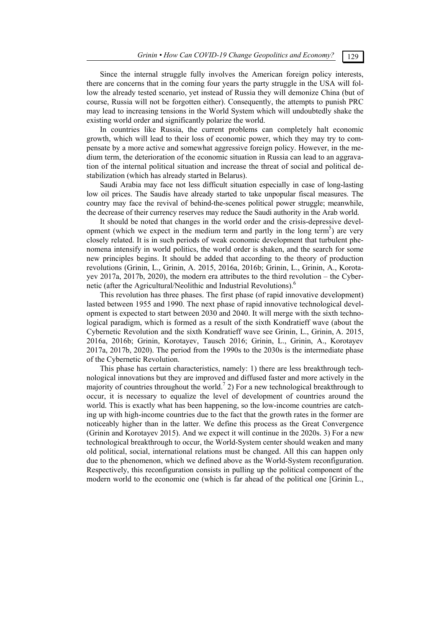Since the internal struggle fully involves the American foreign policy interests, there are concerns that in the coming four years the party struggle in the USA will follow the already tested scenario, yet instead of Russia they will demonize China (but of course, Russia will not be forgotten either). Consequently, the attempts to punish PRC may lead to increasing tensions in the World System which will undoubtedly shake the existing world order and significantly polarize the world.

In countries like Russia, the current problems can completely halt economic growth, which will lead to their loss of economic power, which they may try to compensate by a more active and somewhat aggressive foreign policy. However, in the medium term, the deterioration of the economic situation in Russia can lead to an aggravation of the internal political situation and increase the threat of social and political destabilization (which has already started in Belarus).

Saudi Arabia may face not less difficult situation especially in case of long-lasting low oil prices. The Saudis have already started to take unpopular fiscal measures. The country may face the revival of behind-the-scenes political power struggle; meanwhile, the decrease of their currency reserves may reduce the Saudi authority in the Arab world.

It should be noted that changes in the world order and the crisis-depressive development (which we expect in the medium term and partly in the long term<sup>5</sup>) are very closely related. It is in such periods of weak economic development that turbulent phenomena intensify in world politics, the world order is shaken, and the search for some new principles begins. It should be added that according to the theory of production revolutions (Grinin, L., Grinin, A. 2015, 2016a, 2016b; Grinin, L., Grinin, A., Korotayev 2017a, 2017b, 2020), the modern era attributes to the third revolution – the Cybernetic (after the Agricultural/Neolithic and Industrial Revolutions).<sup>6</sup>

This revolution has three phases. The first phase (of rapid innovative development) lasted between 1955 and 1990. The next phase of rapid innovative technological development is expected to start between 2030 and 2040. It will merge with the sixth technological paradigm, which is formed as a result of the sixth Kondratieff wave (about the Cybernetic Revolution and the sixth Kondratieff wave see Grinin, L., Grinin, A. 2015, 2016a, 2016b; Grinin, Korotayev, Tausch 2016; Grinin, L., Grinin, A., Korotayev 2017a, 2017b, 2020). The period from the 1990s to the 2030s is the intermediate phase of the Cybernetic Revolution.

This phase has certain characteristics, namely: 1) there are less breakthrough technological innovations but they are improved and diffused faster and more actively in the majority of countries throughout the world.<sup>7</sup> 2) For a new technological breakthrough to occur, it is necessary to equalize the level of development of countries around the world. This is exactly what has been happening, so the low-income countries are catching up with high-income countries due to the fact that the growth rates in the former are noticeably higher than in the latter. We define this process as the Great Convergence (Grinin and Korotayev 2015). And we expect it will continue in the 2020s. 3) For a new technological breakthrough to occur, the World-System center should weaken and many old political, social, international relations must be changed. All this can happen only due to the phenomenon, which we defined above as the World-System reconfiguration. Respectively, this reconfiguration consists in pulling up the political component of the modern world to the economic one (which is far ahead of the political one [Grinin L.,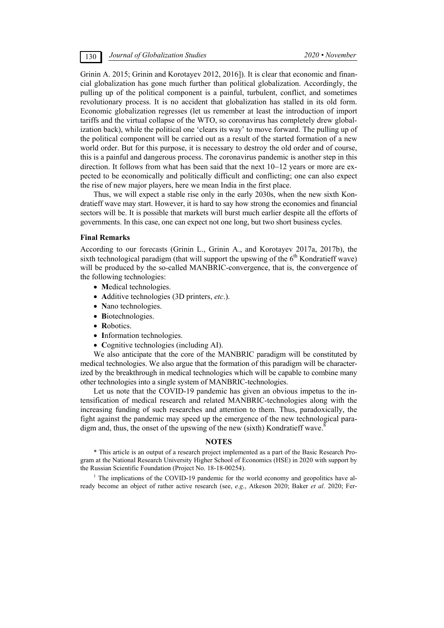Grinin A. 2015; Grinin and Korotayev 2012, 2016]). It is clear that economic and financial globalization has gone much further than political globalization. Accordingly, the pulling up of the political component is a painful, turbulent, conflict, and sometimes revolutionary process. It is no accident that globalization has stalled in its old form. Economic globalization regresses (let us remember at least the introduction of import tariffs and the virtual collapse of the WTO, so coronavirus has completely drew globalization back), while the political one 'clears its way' to move forward. The pulling up of the political component will be carried out as a result of the started formation of a new world order. But for this purpose, it is necessary to destroy the old order and of course, this is a painful and dangerous process. The coronavirus pandemic is another step in this direction. It follows from what has been said that the next  $10-12$  years or more are expected to be economically and politically difficult and conflicting; one can also expect the rise of new major players, here we mean India in the first place.

Thus, we will expect a stable rise only in the early 2030s, when the new sixth Kondratieff wave may start. However, it is hard to say how strong the economies and financial sectors will be. It is possible that markets will burst much earlier despite all the efforts of governments. In this case, one can expect not one long, but two short business cycles.

### **Final Remarks**

According to our forecasts (Grinin L., Grinin A., and Korotayev 2017a, 2017b), the sixth technological paradigm (that will support the upswing of the  $6<sup>th</sup>$  Kondratieff wave) will be produced by the so-called MANBRIC-convergence, that is, the convergence of the following technologies:

- Medical technologies.
- **A**dditive technologies (3D printers, *etc*.).
- Nano technologies.
- Biotechnologies.
- **R**obotics.
- Information technologies.
- Cognitive technologies (including AI).

We also anticipate that the core of the MANBRIC paradigm will be constituted by medical technologies. We also argue that the formation of this paradigm will be characterized by the breakthrough in medical technologies which will be capable to combine many other technologies into a single system of MANBRIC-technologies.

Let us note that the COVID-19 pandemic has given an obvious impetus to the intensification of medical research and related MANBRIC-technologies along with the increasing funding of such researches and attention to them. Thus, paradoxically, the fight against the pandemic may speed up the emergence of the new technological paradigm and, thus, the onset of the upswing of the new (sixth) Kondratieff wave.<sup>8</sup>  $\ddot{\phantom{0}}$ 

### **NOTES**

\* This article is an output of a research project implemented as a part of the Basic Research Program at the National Research University Higher School of Economics (HSE) in 2020 with support by the Russian Scientific Foundation (Project No. 18-18-00254).

<sup>1</sup> The implications of the COVID-19 pandemic for the world economy and geopolitics have already become an object of rather active research (see, *e.g*., Atkeson 2020; Baker *et al*. 2020; Fer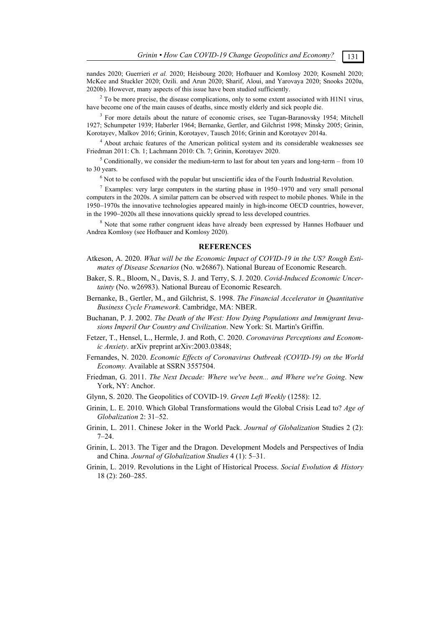nandes 2020; Guerrieri *et al.* 2020; Heisbourg 2020; Hofbauer and Komlosy 2020; Kosmehl 2020; McKee and Stuckler 2020; Ozili. and Arun 2020; Sharif, Aloui, and Yarovaya 2020; Snooks 2020a, 2020b). However, many aspects of this issue have been studied sufficiently.

 $2^2$  To be more precise, the disease complications, only to some extent associated with H1N1 virus, have become one of the main causes of deaths, since mostly elderly and sick people die.

<sup>3</sup> For more details about the nature of economic crises, see Tugan-Baranovsky 1954; Mitchell 1927; Schumpeter 1939; Haberler 1964; Bernanke, Gertler, and Gilchrist 1998; Minsky 2005; Grinin, Korotayev, Malkov 2016; Grinin, Korotayev, Tausch 2016; Grinin and Korotayev 2014a.

4 About archaic features of the American political system and its considerable weaknesses see Friedman 2011: Ch. 1; Lachmann 2010: Ch. 7; Grinin, Korotayev 2020.

 $5$  Conditionally, we consider the medium-term to last for about ten years and long-term – from 10 to 30 years.

 $<sup>6</sup>$  Not to be confused with the popular but unscientific idea of the Fourth Industrial Revolution.</sup>

 $7$  Examples: very large computers in the starting phase in 1950–1970 and very small personal computers in the 2020s. A similar pattern can be observed with respect to mobile phones. While in the 1950–1970s the innovative technologies appeared mainly in high-income OECD countries, however, in the 1990–2020s all these innovations quickly spread to less developed countries.

<sup>8</sup> Note that some rather congruent ideas have already been expressed by Hannes Hofbauer und Andrea Komlosy (see Hofbauer and Komlosy 2020).

### **REFERENCES**

- Atkeson, A. 2020. *What will be the Economic Impact of COVID-19 in the US? Rough Estimates of Disease Scenarios* (No. w26867). National Bureau of Economic Research.
- Baker, S. R., Bloom, N., Davis, S. J. and Terry, S. J. 2020. *Covid-Induced Economic Uncertainty* (No. w26983). National Bureau of Economic Research.
- Bernanke, B., Gertler, M., and Gilchrist, S. 1998. *The Financial Accelerator in Quantitative Business Cycle Framework*. Cambridge, MA: NBER.
- Buchanan, P. J. 2002. *The Death of the West: How Dying Populations and Immigrant Invasions Imperil Our Country and Civilization*. New York: St. Martin's Griffin.
- Fetzer, T., Hensel, L., Hermle, J. and Roth, C. 2020. *Coronavirus Perceptions and Economic Anxiety*. arXiv preprint arXiv:2003.03848;
- Fernandes, N. 2020. *Economic Effects of Coronavirus Outbreak (COVID-19) on the World Economy.* Available at SSRN 3557504.
- Friedman, G. 2011. *The Next Decade: Where we've been... and Where we're Going*. New York, NY: Anchor.
- Glynn, S. 2020. The Geopolitics of COVID-19. *Green Left Weekly* (1258): 12.
- Grinin, L. E. 2010. Which Global Transformations would the Global Crisis Lead to? *Age of Globalization* 2: 31–52.
- Grinin, L. 2011. Chinese Joker in the World Pack. *Journal of Globalization* Studies 2 (2): 7–24.
- Grinin, L. 2013. The Tiger and the Dragon. Development Models and Perspectives of India and China. *Journal of Globalization Studies* 4 (1): 5–31.
- Grinin, L. 2019. Revolutions in the Light of Historical Process. *Social Evolution & History* 18 (2): 260–285.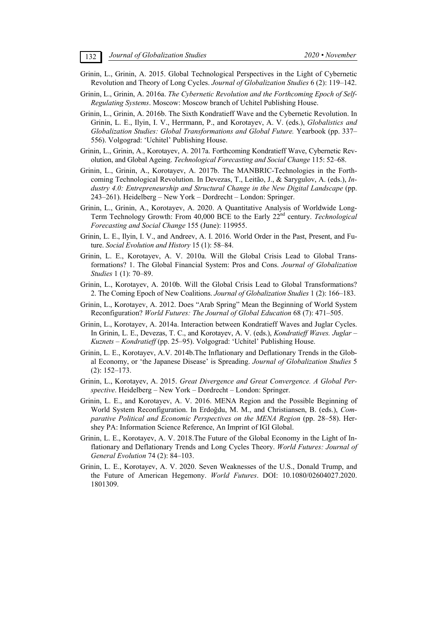- Grinin, L., Grinin, A. 2015. Global Technological Perspectives in the Light of Cybernetic Revolution and Theory of Long Cycles. *Journal of Globalization Studies* 6 (2): 119–142.
- Grinin, L., Grinin, A. 2016a. *The Cybernetic Revolution and the Forthcoming Epoch of Self-Regulating Systems*. Moscow: Moscow branch of Uchitel Publishing House.
- Grinin, L., Grinin, A. 2016b. The Sixth Kondratieff Wave and the Cybernetic Revolution. In Grinin, L. E., Ilyin, I. V., Herrmann, P., and Korotayev, A. V. (eds.), *Globalistics and Globalization Studies: Global Transformations and Global Future.* Yearbook (pp. 337– 556). Volgograd: 'Uchitel' Publishing House.
- Grinin, L., Grinin, A., Korotayev, A. 2017a. Forthcoming Kondratieff Wave, Cybernetic Revolution, and Global Ageing. *Technological Forecasting and Social Change* 115: 52–68.
- Grinin, L., Grinin, A., Korotayev, A. 2017b. The MANBRIC-Technologies in the Forthcoming Technological Revolution. In Devezas, T., Leitão, J., & Sarygulov, A. (eds.), *Industry 4.0: Entrepreneurship and Structural Change in the New Digital Landscape* (pp. 243–261). Heidelberg – New York – Dordrecht – London: Springer.
- Grinin, L., Grinin, A., Korotayev, A. 2020. A Quantitative Analysis of Worldwide Long-Term Technology Growth: From 40,000 BCE to the Early 22nd century. *Technological Forecasting and Social Change* 155 (June): 119955.
- Grinin, L. E., Ilyin, I. V., and Andreev, A. I. 2016. World Order in the Past, Present, and Future. *Social Evolution and History* 15 (1): 58–84.
- Grinin, L. E., Korotayev, A. V. 2010a. Will the Global Crisis Lead to Global Transformations? 1. The Global Financial System: Pros and Cons. *Journal of Globalization Studies* 1 (1): 70–89.
- Grinin, L., Korotayev, A. 2010b. Will the Global Crisis Lead to Global Transformations? 2. The Coming Epoch of New Coalitions. *Journal of Globalization Studies* 1 (2): 166–183.
- Grinin, L., Korotayev, A. 2012. Does "Arab Spring" Mean the Beginning of World System Reconfiguration? *World Futures: The Journal of Global Education* 68 (7): 471–505.
- Grinin, L., Korotayev, A. 2014a. Interaction between Kondratieff Waves and Juglar Cycles. In Grinin, L. E., Devezas, T. C., and Korotayev, A. V. (eds.), *Kondratieff Waves. Juglar – Kuznets – Kondratieff* (pp. 25–95). Volgograd: 'Uchitel' Publishing House.
- Grinin, L. E., Korotayev, A.V. 2014b.The Inflationary and Deflationary Trends in the Global Economy, or 'the Japanese Disease' is Spreading. *Journal of Globalization Studies* 5 (2): 152–173.
- Grinin, L., Korotayev, A. 2015. *Great Divergence and Great Convergence. A Global Perspective*. Heidelberg – New York – Dordrecht – London: Springer.
- Grinin, L. E., and Korotayev, A. V. 2016. MENA Region and the Possible Beginning of World System Reconfiguration. In Erdoğdu, M. M., and Christiansen, B. (eds.), *Comparative Political and Economic Perspectives on the MENA Region* (pp. 28–58). Hershey PA: Information Science Reference, An Imprint of IGI Global.
- Grinin, L. E., Korotayev, A. V. 2018.The Future of the Global Economy in the Light of Inflationary and Deflationary Trends and Long Cycles Theory. *World Futures: Journal of General Evolution* 74 (2): 84–103.
- Grinin, L. E., Korotayev, A. V. 2020. Seven Weaknesses of the U.S., Donald Trump, and the Future of American Hegemony. *World Futures*. DOI: 10.1080/02604027.2020. 1801309.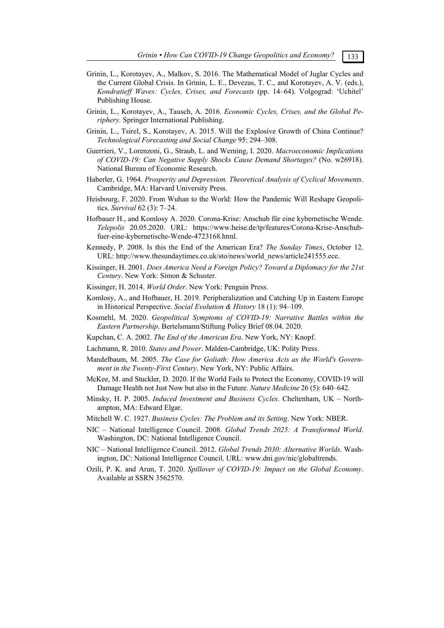- Grinin, L., Korotayev, A., Malkov, S. 2016. The Mathematical Model of Juglar Cycles and the Current Global Crisis. In Grinin, L. E., Devezas, T. C., and Korotayev, A. V. (eds.), *Kondratieff Waves: Cycles, Crises, and Forecasts* (pp. 14–64). Volgograd: 'Uchitel' Publishing House.
- Grinin, L., Korotayev, A., Tausch, A. 2016. *Economic Cycles, Crises, and the Global Periphery.* Springer International Publishing.
- Grinin, L., Tsirel, S., Korotayev, A. 2015. Will the Explosive Growth of China Continue? *Technological Forecasting and Social Change* 95: 294–308.
- Guerrieri, V., Lorenzoni, G., Straub, L. and Werning, I. 2020. *Macroeconomic Implications of COVID-19: Can Negative Supply Shocks Cause Demand Shortages?* (No. w26918). National Bureau of Economic Research.
- Haberler, G. 1964. *Prosperity and Depression. Theoretical Analysis of Cyclical Movements*. Cambridge, MA: Harvard University Press.
- Heisbourg, F. 2020. From Wuhan to the World: How the Pandemic Will Reshape Geopolitics. *Survival* 62 (3): 7–24.
- Hofbauer H., and Komlosy A. 2020. Corona-Krise: Anschub für eine kybernetische Wende. *Telepolis* 20.05.2020. URL: https://www.heise.de/tp/features/Corona-Krise-Anschubfuer-eine-kybernetische-Wende-4723168.html.
- Kennedy, P. 2008. Is this the End of the American Era? *The Sunday Times*, October 12. URL: http://www.thesundaytimes.co.uk/sto/news/world\_news/article241555.ece.
- Kissinger, H. 2001. *Does America Need a Foreign Policy? Toward a Diplomacy for the 21st Century*. New York: Simon & Schuster.
- Kissinger, H. 2014. *World Order*. New York: Penguin Press.
- Komlosy, A., and Hofbauer, H. 2019. Peripheralization and Catching Up in Eastern Europe in Historical Perspective. *Social Evolution & History* 18 (1): 94–109.
- Kosmehl, M. 2020. *Geopolitical Symptoms of COVID-19: Narrative Battles within the Eastern Partnership*. Bertelsmann/Stiftung Policy Brief 08.04. 2020.
- Kupchan, C. A. 2002. *The End of the American Era*. New York, NY: Knopf.
- Lachmann, R. 2010. *States and Power*. Malden-Cambridge, UK: Polity Press.
- Mandelbaum, M. 2005. *The Case for Goliath: How America Acts as the World's Government in the Twenty-First Century*. New York, NY: Public Affairs.
- McKee, M. and Stuckler, D. 2020. If the World Fails to Protect the Economy, COVID-19 will Damage Health not Just Now but also in the Future. *Nature Medicine* 26 (5): 640–642.
- Minsky, H. P. 2005. *Induced Investment and Business Cycles*. Cheltenham, UK Northampton, MA: Edward Elgar.
- Mitchell W. C. 1927. *Business Cycles: The Problem and its Setting*. New York: NBER.
- NIC National Intelligence Council. 2008*. Global Trends 2025: A Transformed World*. Washington, DC: National Intelligence Council.
- NIC National Intelligence Council. 2012. *Global Trends 2030: Alternative Worlds*. Washington, DC: National Intelligence Council. URL: www.dni.gov/nic/globaltrends.
- Ozili, P. K. and Arun, T. 2020. *Spillover of COVID-19: Impact on the Global Economy*. Available at SSRN 3562570.